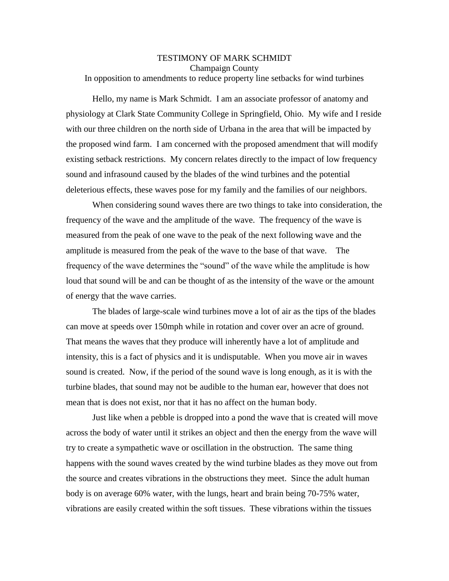## TESTIMONY OF MARK SCHMIDT Champaign County In opposition to amendments to reduce property line setbacks for wind turbines

Hello, my name is Mark Schmidt. I am an associate professor of anatomy and physiology at Clark State Community College in Springfield, Ohio. My wife and I reside with our three children on the north side of Urbana in the area that will be impacted by the proposed wind farm. I am concerned with the proposed amendment that will modify existing setback restrictions. My concern relates directly to the impact of low frequency sound and infrasound caused by the blades of the wind turbines and the potential deleterious effects, these waves pose for my family and the families of our neighbors.

When considering sound waves there are two things to take into consideration, the frequency of the wave and the amplitude of the wave. The frequency of the wave is measured from the peak of one wave to the peak of the next following wave and the amplitude is measured from the peak of the wave to the base of that wave. The frequency of the wave determines the "sound" of the wave while the amplitude is how loud that sound will be and can be thought of as the intensity of the wave or the amount of energy that the wave carries.

The blades of large-scale wind turbines move a lot of air as the tips of the blades can move at speeds over 150mph while in rotation and cover over an acre of ground. That means the waves that they produce will inherently have a lot of amplitude and intensity, this is a fact of physics and it is undisputable. When you move air in waves sound is created. Now, if the period of the sound wave is long enough, as it is with the turbine blades, that sound may not be audible to the human ear, however that does not mean that is does not exist, nor that it has no affect on the human body.

Just like when a pebble is dropped into a pond the wave that is created will move across the body of water until it strikes an object and then the energy from the wave will try to create a sympathetic wave or oscillation in the obstruction. The same thing happens with the sound waves created by the wind turbine blades as they move out from the source and creates vibrations in the obstructions they meet. Since the adult human body is on average 60% water, with the lungs, heart and brain being 70-75% water, vibrations are easily created within the soft tissues. These vibrations within the tissues